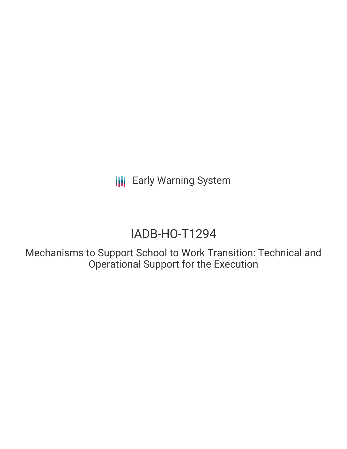## IADB-HO-T1294

Mechanisms to Support School to Work Transition: Technical and Operational Support for the Execution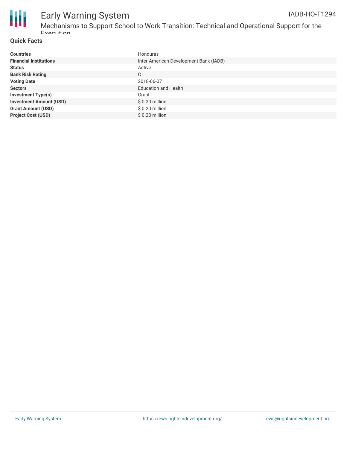

#### **Quick Facts**

| <b>Countries</b>               | Honduras                               |
|--------------------------------|----------------------------------------|
| <b>Financial Institutions</b>  | Inter-American Development Bank (IADB) |
| <b>Status</b>                  | Active                                 |
| <b>Bank Risk Rating</b>        | C                                      |
| <b>Voting Date</b>             | 2018-06-07                             |
| <b>Sectors</b>                 | <b>Education and Health</b>            |
| <b>Investment Type(s)</b>      | Grant                                  |
| <b>Investment Amount (USD)</b> | $$0.20$ million                        |
| <b>Grant Amount (USD)</b>      | $$0.20$ million                        |
| <b>Project Cost (USD)</b>      | $$0.20$ million                        |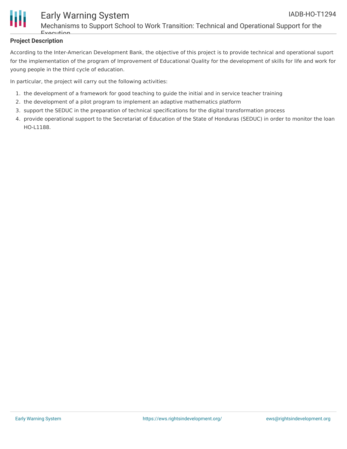



Mechanisms to Support School to Work Transition: Technical and Operational Support for the Execution

#### **Project Description**

According to the Inter-American Development Bank, the objective of this project is to provide technical and operational suport for the implementation of the program of Improvement of Educational Quality for the development of skills for life and work for young people in the third cycle of education.

In particular, the project will carry out the following activities:

- 1. the development of a framework for good teaching to guide the initial and in service teacher training
- 2. the development of a pilot program to implement an adaptive mathematics platform
- 3. support the SEDUC in the preparation of technical specifications for the digital transformation process
- 4. provide operational support to the Secretariat of Education of the State of Honduras (SEDUC) in order to monitor the loan HO-L1188.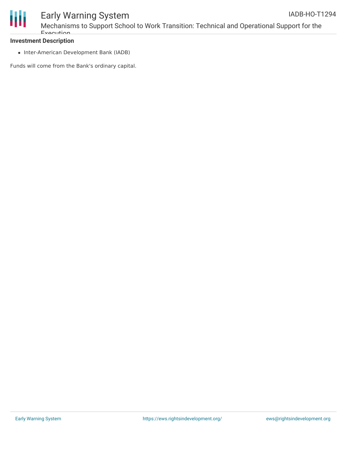

Mechanisms to Support School to Work Transition: Technical and Operational Support for the Execution

#### **Investment Description**

• Inter-American Development Bank (IADB)

Funds will come from the Bank's ordinary capital.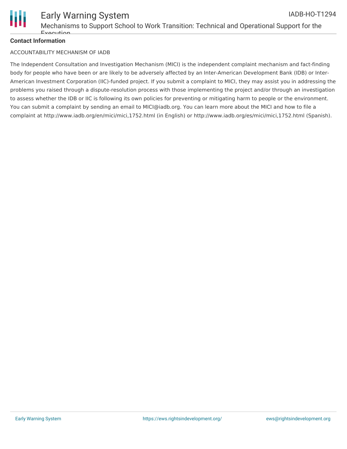

#### **Contact Information**

#### ACCOUNTABILITY MECHANISM OF IADB

The Independent Consultation and Investigation Mechanism (MICI) is the independent complaint mechanism and fact-finding body for people who have been or are likely to be adversely affected by an Inter-American Development Bank (IDB) or Inter-American Investment Corporation (IIC)-funded project. If you submit a complaint to MICI, they may assist you in addressing the problems you raised through a dispute-resolution process with those implementing the project and/or through an investigation to assess whether the IDB or IIC is following its own policies for preventing or mitigating harm to people or the environment. You can submit a complaint by sending an email to MICI@iadb.org. You can learn more about the MICI and how to file a complaint at http://www.iadb.org/en/mici/mici,1752.html (in English) or http://www.iadb.org/es/mici/mici,1752.html (Spanish).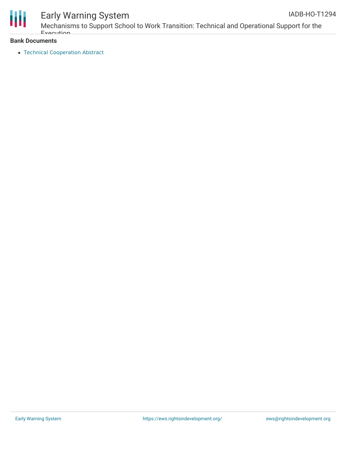

Mechanisms to Support School to Work Transition: Technical and Operational Support for the Execution IADB-HO-T1294

#### **Bank Documents**

• Technical [Cooperation](https://ewsdata.rightsindevelopment.org/projects/IADB-HO-T1294/) Abstract